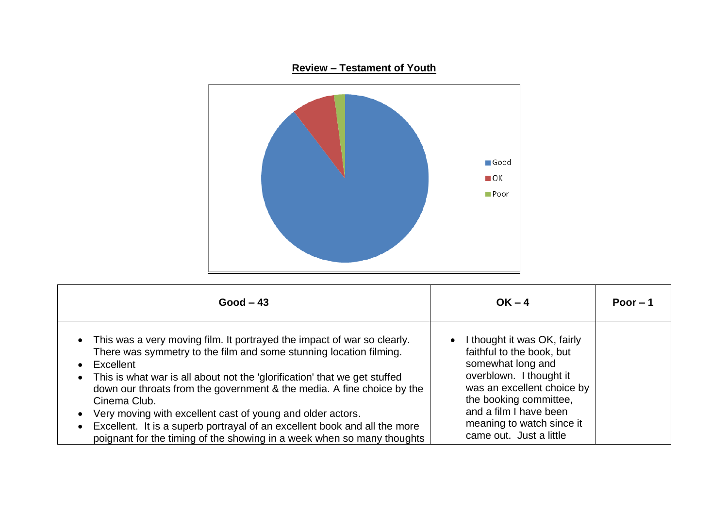

| $Good - 43$                                                                                                                                                                                                                                                                                                                                                                                                                                                                                                                                                                                                  | $OK - 4$                                                                                                                                                                                                                                           | Poor $-1$ |
|--------------------------------------------------------------------------------------------------------------------------------------------------------------------------------------------------------------------------------------------------------------------------------------------------------------------------------------------------------------------------------------------------------------------------------------------------------------------------------------------------------------------------------------------------------------------------------------------------------------|----------------------------------------------------------------------------------------------------------------------------------------------------------------------------------------------------------------------------------------------------|-----------|
| • This was a very moving film. It portrayed the impact of war so clearly.<br>There was symmetry to the film and some stunning location filming.<br>Excellent<br>$\bullet$<br>This is what war is all about not the 'glorification' that we get stuffed<br>$\bullet$<br>down our throats from the government & the media. A fine choice by the<br>Cinema Club.<br>Very moving with excellent cast of young and older actors.<br>$\bullet$<br>Excellent. It is a superb portrayal of an excellent book and all the more<br>$\bullet$<br>poignant for the timing of the showing in a week when so many thoughts | I thought it was OK, fairly<br>faithful to the book, but<br>somewhat long and<br>overblown. I thought it<br>was an excellent choice by<br>the booking committee,<br>and a film I have been<br>meaning to watch since it<br>came out. Just a little |           |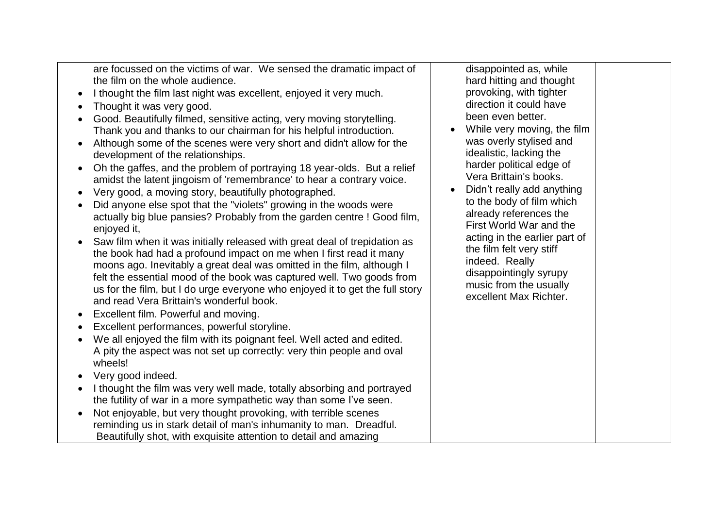are focussed on the victims of war. We sensed the dramatic impact of the film on the whole audience.

- I thought the film last night was excellent, enjoyed it very much.
- Thought it was very good.
- Good. Beautifully filmed, sensitive acting, very moving storytelling. Thank you and thanks to our chairman for his helpful introduction.
- Although some of the scenes were very short and didn't allow for the development of the relationships.
- Oh the gaffes, and the problem of portraying 18 year-olds. But a relief amidst the latent jingoism of 'remembrance' to hear a contrary voice.
- Very good, a moving story, beautifully photographed.
- Did anyone else spot that the "violets" growing in the woods were actually big blue pansies? Probably from the garden centre ! Good film, enjoyed it,
- Saw film when it was initially released with great deal of trepidation as the book had had a profound impact on me when I first read it many moons ago. Inevitably a great deal was omitted in the film, although I felt the essential mood of the book was captured well. Two goods from us for the film, but I do urge everyone who enjoyed it to get the full story and read Vera Brittain's wonderful book.
- Excellent film. Powerful and moving.
- Excellent performances, powerful storyline.
- We all enjoyed the film with its poignant feel. Well acted and edited. A pity the aspect was not set up correctly: very thin people and oval wheels!
- Very good indeed.
- I thought the film was very well made, totally absorbing and portrayed the futility of war in a more sympathetic way than some I've seen.
- Not enjoyable, but very thought provoking, with terrible scenes reminding us in stark detail of man's inhumanity to man. Dreadful. Beautifully shot, with exquisite attention to detail and amazing

disappointed as, while hard hitting and thought provoking, with tighter direction it could have been even better.

- While very moving, the film was overly stylised and idealistic, lacking the harder political edge of Vera Brittain's books.
- Didn't really add anything to the body of film which already references the First World War and the acting in the earlier part of the film felt very stiff indeed. Really disappointingly syrupy music from the usually excellent Max Richter.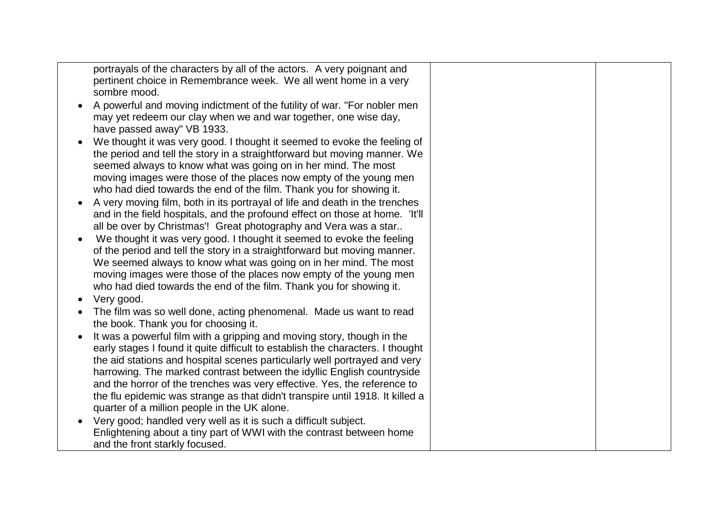| portrayals of the characters by all of the actors. A very poignant and         |  |
|--------------------------------------------------------------------------------|--|
| pertinent choice in Remembrance week. We all went home in a very               |  |
| sombre mood.                                                                   |  |
| A powerful and moving indictment of the futility of war. "For nobler men       |  |
| may yet redeem our clay when we and war together, one wise day,                |  |
| have passed away" VB 1933.                                                     |  |
| We thought it was very good. I thought it seemed to evoke the feeling of       |  |
| the period and tell the story in a straightforward but moving manner. We       |  |
| seemed always to know what was going on in her mind. The most                  |  |
| moving images were those of the places now empty of the young men              |  |
| who had died towards the end of the film. Thank you for showing it.            |  |
| A very moving film, both in its portrayal of life and death in the trenches    |  |
| and in the field hospitals, and the profound effect on those at home. It'll    |  |
| all be over by Christmas'! Great photography and Vera was a star               |  |
| We thought it was very good. I thought it seemed to evoke the feeling          |  |
| of the period and tell the story in a straightforward but moving manner.       |  |
| We seemed always to know what was going on in her mind. The most               |  |
| moving images were those of the places now empty of the young men              |  |
| who had died towards the end of the film. Thank you for showing it.            |  |
| Very good.                                                                     |  |
| The film was so well done, acting phenomenal. Made us want to read             |  |
| the book. Thank you for choosing it.                                           |  |
| It was a powerful film with a gripping and moving story, though in the         |  |
| early stages I found it quite difficult to establish the characters. I thought |  |
| the aid stations and hospital scenes particularly well portrayed and very      |  |
| harrowing. The marked contrast between the idyllic English countryside         |  |
| and the horror of the trenches was very effective. Yes, the reference to       |  |
| the flu epidemic was strange as that didn't transpire until 1918. It killed a  |  |
| quarter of a million people in the UK alone.                                   |  |
| Very good; handled very well as it is such a difficult subject.                |  |
| Enlightening about a tiny part of WWI with the contrast between home           |  |
| and the front starkly focused.                                                 |  |